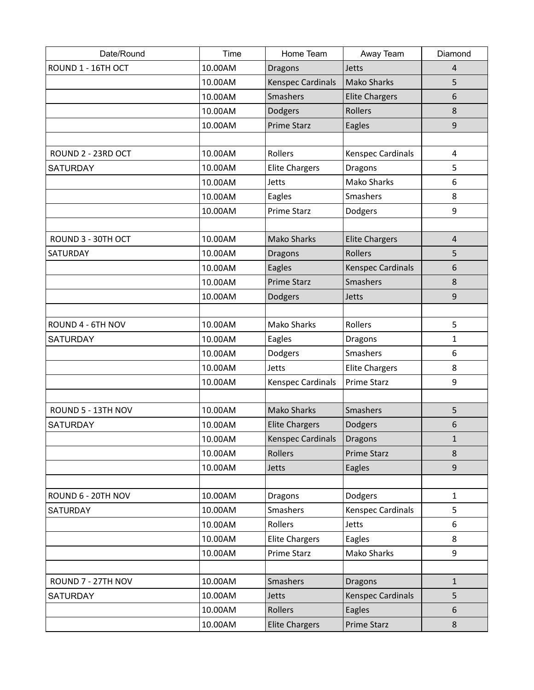| Date/Round         | Time    | Home Team                | Away Team                | Diamond                 |
|--------------------|---------|--------------------------|--------------------------|-------------------------|
| ROUND 1 - 16TH OCT | 10.00AM | <b>Dragons</b>           | Jetts                    | 4                       |
|                    | 10.00AM | <b>Kenspec Cardinals</b> | <b>Mako Sharks</b>       | 5                       |
|                    | 10.00AM | Smashers                 | <b>Elite Chargers</b>    | 6                       |
|                    | 10.00AM | Dodgers                  | Rollers                  | 8                       |
|                    | 10.00AM | <b>Prime Starz</b>       | Eagles                   | 9                       |
|                    |         |                          |                          |                         |
| ROUND 2 - 23RD OCT | 10.00AM | Rollers                  | Kenspec Cardinals        | $\overline{\mathbf{4}}$ |
| <b>SATURDAY</b>    | 10.00AM | <b>Elite Chargers</b>    | <b>Dragons</b>           | 5                       |
|                    | 10.00AM | Jetts                    | <b>Mako Sharks</b>       | 6                       |
|                    | 10.00AM | Eagles                   | Smashers                 | 8                       |
|                    | 10.00AM | Prime Starz              | Dodgers                  | 9                       |
|                    |         |                          |                          |                         |
| ROUND 3 - 30TH OCT | 10.00AM | <b>Mako Sharks</b>       | <b>Elite Chargers</b>    | $\overline{4}$          |
| SATURDAY           | 10.00AM | <b>Dragons</b>           | Rollers                  | 5                       |
|                    | 10.00AM | Eagles                   | <b>Kenspec Cardinals</b> | 6                       |
|                    | 10.00AM | <b>Prime Starz</b>       | Smashers                 | 8                       |
|                    | 10.00AM | Dodgers                  | Jetts                    | 9                       |
|                    |         |                          |                          |                         |
| ROUND 4 - 6TH NOV  | 10.00AM | <b>Mako Sharks</b>       | Rollers                  | 5                       |
| <b>SATURDAY</b>    | 10.00AM | Eagles                   | Dragons                  | 1                       |
|                    | 10.00AM | Dodgers                  | Smashers                 | 6                       |
|                    | 10.00AM | Jetts                    | <b>Elite Chargers</b>    | 8                       |
|                    | 10.00AM | Kenspec Cardinals        | <b>Prime Starz</b>       | 9                       |
|                    |         |                          |                          |                         |
| ROUND 5 - 13TH NOV | 10.00AM | <b>Mako Sharks</b>       | Smashers                 | 5                       |
| <b>SATURDAY</b>    | 10.00AM | <b>Elite Chargers</b>    | Dodgers                  | 6                       |
|                    | 10.00AM | <b>Kenspec Cardinals</b> | <b>Dragons</b>           | 1                       |
|                    | 10.00AM | Rollers                  | <b>Prime Starz</b>       | 8                       |
|                    | 10.00AM | Jetts                    | Eagles                   | 9                       |
|                    |         |                          |                          |                         |
| ROUND 6 - 20TH NOV | 10.00AM | <b>Dragons</b>           | Dodgers                  | $\mathbf{1}$            |
| <b>SATURDAY</b>    | 10.00AM | Smashers                 | Kenspec Cardinals        | 5                       |
|                    | 10.00AM | Rollers                  | Jetts                    | 6                       |
|                    | 10.00AM | <b>Elite Chargers</b>    | Eagles                   | 8                       |
|                    | 10.00AM | <b>Prime Starz</b>       | Mako Sharks              | 9                       |
|                    |         |                          |                          |                         |
| ROUND 7 - 27TH NOV | 10.00AM | Smashers                 | <b>Dragons</b>           | $\mathbf{1}$            |
| <b>SATURDAY</b>    | 10.00AM | <b>Jetts</b>             | Kenspec Cardinals        | 5                       |
|                    | 10.00AM | Rollers                  | Eagles                   | 6                       |
|                    | 10.00AM | <b>Elite Chargers</b>    | Prime Starz              | 8                       |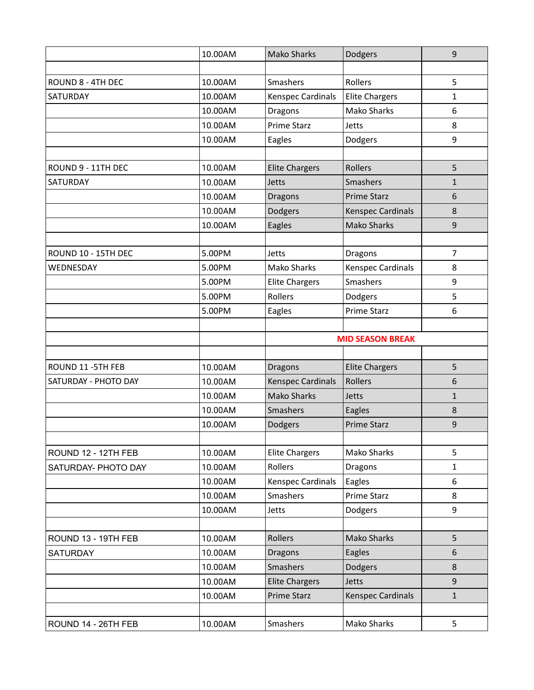|                      | 10.00AM | <b>Mako Sharks</b>      | Dodgers                  | 9              |
|----------------------|---------|-------------------------|--------------------------|----------------|
|                      |         |                         |                          |                |
| ROUND 8 - 4TH DEC    | 10.00AM | Smashers                | Rollers                  | 5              |
| SATURDAY             | 10.00AM | Kenspec Cardinals       | <b>Elite Chargers</b>    | 1              |
|                      | 10.00AM | Dragons                 | <b>Mako Sharks</b>       | 6              |
|                      | 10.00AM | <b>Prime Starz</b>      | Jetts                    | 8              |
|                      | 10.00AM | Eagles                  | Dodgers                  | 9              |
|                      |         |                         |                          |                |
| ROUND 9 - 11TH DEC   | 10.00AM | <b>Elite Chargers</b>   | Rollers                  | 5              |
| SATURDAY             | 10.00AM | Jetts                   | Smashers                 | $\mathbf{1}$   |
|                      | 10.00AM | <b>Dragons</b>          | <b>Prime Starz</b>       | 6              |
|                      | 10.00AM | Dodgers                 | Kenspec Cardinals        | 8              |
|                      | 10.00AM | Eagles                  | <b>Mako Sharks</b>       | 9              |
|                      |         |                         |                          |                |
| ROUND 10 - 15TH DEC  | 5.00PM  | Jetts                   | Dragons                  | $\overline{7}$ |
| WEDNESDAY            | 5.00PM  | Mako Sharks             | <b>Kenspec Cardinals</b> | 8              |
|                      | 5.00PM  | <b>Elite Chargers</b>   | Smashers                 | 9              |
|                      | 5.00PM  | Rollers                 | Dodgers                  | 5              |
|                      | 5.00PM  | Eagles                  | Prime Starz              | 6              |
|                      |         |                         |                          |                |
|                      |         | <b>MID SEASON BREAK</b> |                          |                |
|                      |         |                         |                          |                |
| ROUND 11 - 5TH FEB   | 10.00AM | <b>Dragons</b>          | <b>Elite Chargers</b>    | 5              |
| SATURDAY - PHOTO DAY | 10.00AM | Kenspec Cardinals       | Rollers                  | 6              |
|                      | 10.00AM | <b>Mako Sharks</b>      | Jetts                    | $\mathbf{1}$   |
|                      | 10.00AM | Smashers                | Eagles                   | 8              |
|                      | 10.00AM | Dodgers                 | <b>Prime Starz</b>       | 9              |
| ROUND 12 - 12TH FEB  | 10.00AM | <b>Elite Chargers</b>   | Mako Sharks              | 5              |
| SATURDAY- PHOTO DAY  | 10.00AM | Rollers                 | <b>Dragons</b>           | 1              |
|                      | 10.00AM | Kenspec Cardinals       | Eagles                   | 6              |
|                      | 10.00AM | Smashers                | Prime Starz              | 8              |
|                      | 10.00AM | Jetts                   | Dodgers                  | 9              |
|                      |         |                         |                          |                |
| ROUND 13 - 19TH FEB  | 10.00AM | Rollers                 | <b>Mako Sharks</b>       | 5              |
| <b>SATURDAY</b>      | 10.00AM | <b>Dragons</b>          | Eagles                   | 6              |
|                      | 10.00AM | Smashers                | Dodgers                  | 8              |
|                      | 10.00AM | <b>Elite Chargers</b>   | Jetts                    | 9              |
|                      | 10.00AM | <b>Prime Starz</b>      | Kenspec Cardinals        | $\mathbf{1}$   |
|                      |         |                         |                          |                |
| ROUND 14 - 26TH FEB  | 10.00AM | Smashers                | Mako Sharks              | 5              |